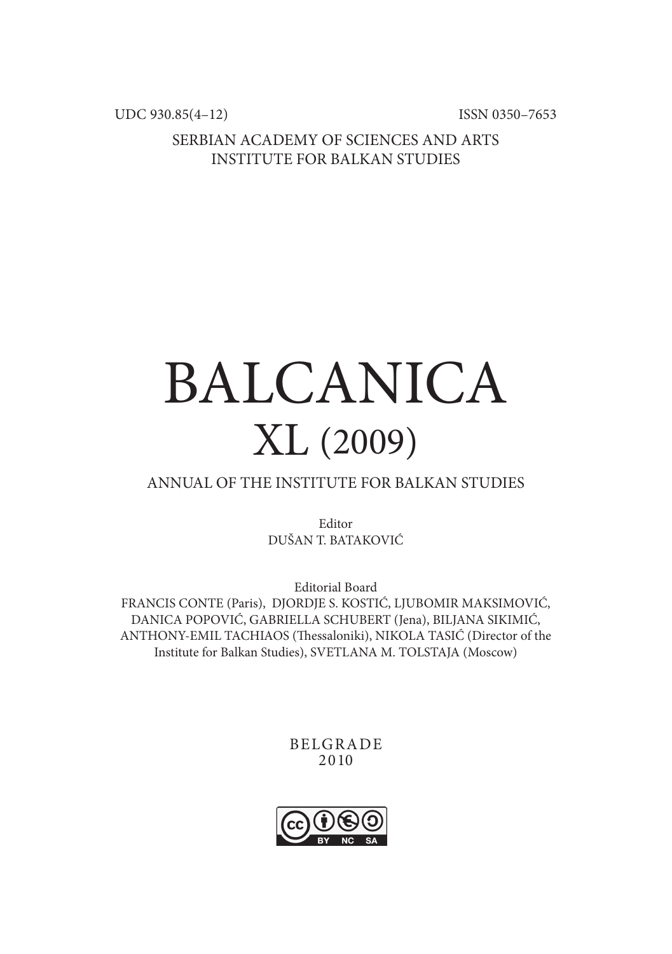UDC 930.85(4-12) ISSN 0350-7653

SERBIAN ACADEMY OF SCIENCES AND ARTS INSTITUTE FOR BALKAN STUDIES

## BALCANICA XL (2009)

## ANNUAL OF THE INSTITUTE FOR BALKAN STUDIES

Editor DUŠAN T. BATAKOVIĆ

Editorial Board FRANCIS CONTE (Paris), DJORDJE S. KOSTIĆ, LJUBOMIR MAKSIMOVIĆ, DANICA POPOVIĆ, GABRIELLA SCHUBERT (Jena), BILJANA SIKIMIĆ, ANTHONY-EMIL TACHIAOS (Thessaloniki), NIKOLA TASIĆ (Director of the Institute for Balkan Studies), SVETLANA M. TOLSTAJA (Moscow)

> BELGRADE 2010

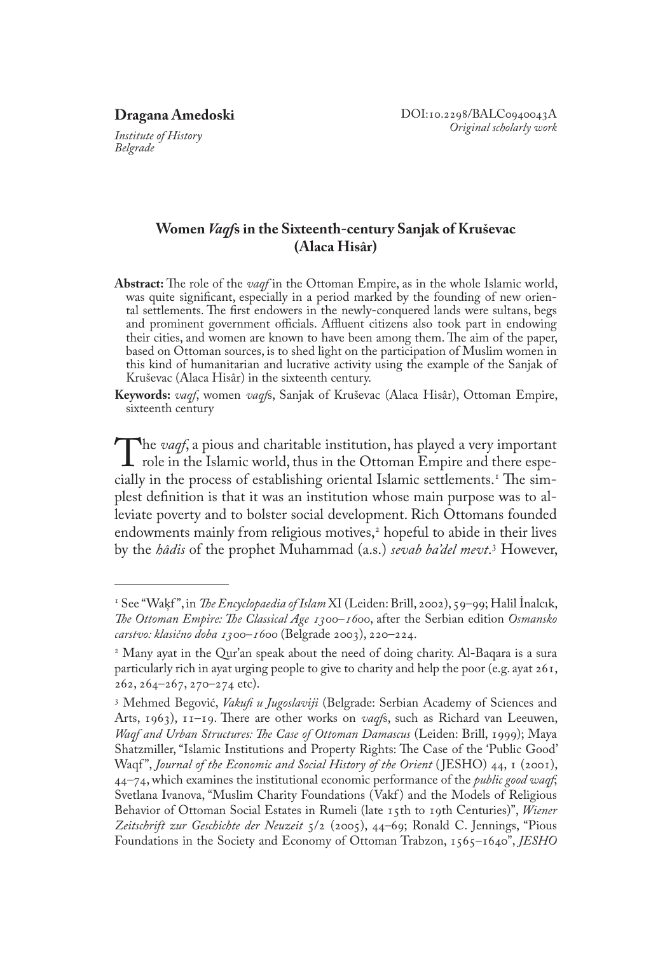*Institute of History Belgrade* 

## **Women** *Vaqf***s in the Sixteenth-century Sanjak of Kruševac (Alaca Hisâr)**

- **Abstract:** The role of the *vaqf* in the Ottoman Empire, as in the whole Islamic world, was quite significant, especially in a period marked by the founding of new oriental settlements. The first endowers in the newly-conquered lands were sultans, begs and prominent government officials. Affluent citizens also took part in endowing their cities, and women are known to have been among them. The aim of the paper, based on Ottoman sources, is to shed light on the participation of Muslim women in this kind of humanitarian and lucrative activity using the example of the Sanjak of Kruševac (Alaca Hisâr) in the sixteenth century.
- **Keywords:** *vaqf*, women *vaqf*s, Sanjak of Kruševac (Alaca Hisâr), Ottoman Empire, sixteenth century

The *vaqf*, a pious and charitable institution, has played a very important<br>role in the Islamic world, thus in the Ottoman Empire and there espe-<br>cially in the process of establishing oriental Islamic settlements.<sup>1</sup> The s cially in the process of establishing oriental Islamic settlements. The simplest definition is that it was an institution whose main purpose was to alleviate poverty and to bolster social development. Rich Ottomans founded endowments mainly from religious motives, hopeful to abide in their lives by the *hâdis* of the prophet Muhammad (a.s.) *sevab ba'del mevt*. However,

 See "Waķf ", in *The Encyclopaedia of Islam* XI (Leiden: Brill, 2002), 59–99; Halil İnalcık, *The Ottoman Empire: The Classical Age 1300–1600*, after the Serbian edition *Osmansko carstvo: klasično doba 1300–1600* (Belgrade 2003), 220–224.

 Many ayat in the Qur'an speak about the need of doing charity. Al-Baqara is a sura particularly rich in ayat urging people to give to charity and help the poor (e.g. ayat 261, 262, 264–267, 270–274 etc).

 Mehmed Begović, *Vakufi u Jugoslaviji* (Belgrade: Serbian Academy of Sciences and Arts, 1963), 11–19. There are other works on *vaqf*s, such as Richard van Leeuwen, *Waqf and Urban Structures: The Case of Ottoman Damascus* (Leiden: Brill, 1999); Maya Shatzmiller, "Islamic Institutions and Property Rights: The Case of the 'Public Good' Waqf", *Journal of the Economic and Social History of the Orient* (JESHO) 44, 1 (2001), 44–74, which examines the institutional economic performance of the *public good waqf*; Svetlana Ivanova, "Muslim Charity Foundations (Vakf) and the Models of Religious Behavior of Ottoman Social Estates in Rumeli (late 15th to 19th Centuries)", *Wiener Zeitschrift zur Geschichte der Neuzeit* 5/2 (2005), 44–69; Ronald C. Jennings, "Pious Foundations in the Society and Economy of Ottoman Trabzon, 1565–1640", *JESHO*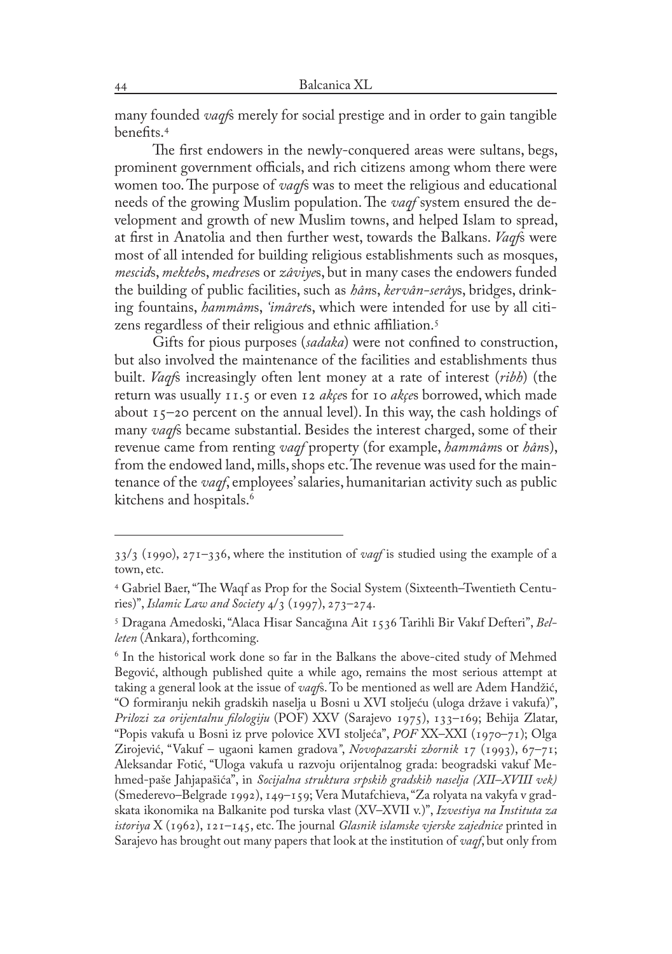many founded *vaqf*s merely for social prestige and in order to gain tangible benefits.

The first endowers in the newly-conquered areas were sultans, begs, prominent government officials, and rich citizens among whom there were women too. The purpose of *vaqf*s was to meet the religious and educational needs of the growing Muslim population. The *vaqf* system ensured the development and growth of new Muslim towns, and helped Islam to spread, at first in Anatolia and then further west, towards the Balkans. *Vaqf*s were most of all intended for building religious establishments such as mosques, *mescid*s, *mekteb*s, *medrese*s or *zâviye*s, but in many cases the endowers funded the building of public facilities, such as *hân*s, *kervân-serây*s, bridges, drinking fountains, *hammâm*s, *'imâret*s, which were intended for use by all citizens regardless of their religious and ethnic affiliation.

Gifts for pious purposes (*sadaka*) were not confined to construction, but also involved the maintenance of the facilities and establishments thus built. *Vaqf*s increasingly often lent money at a rate of interest (*ribh*) (the return was usually 11.5 or even 12 *akçe*s for 10 *akçe*s borrowed, which made about  $15$ –20 percent on the annual level). In this way, the cash holdings of many *vaqf*s became substantial. Besides the interest charged, some of their revenue came from renting *vaqf* property (for example, *hammâm*s or *hân*s), from the endowed land, mills, shops etc. The revenue was used for the maintenance of the *vaqf*, employees' salaries, humanitarian activity such as public kitchens and hospitals.<sup>6</sup>

<sup>33/3 (1990), 271–336,</sup> where the institution of *vaqf* is studied using the example of a town, etc.

Gabriel Baer, "The Waqf as Prop for the Social System (Sixteenth–Twentieth Centuries)", *Islamic Law and Society* 4/3 (1997), 273–274.

Dragana Amedoski, "Alaca Hisar Sancağına Ait 1536 Tarihli Bir Vakıf Defteri", *Belleten* (Ankara), forthcoming.

 $6$  In the historical work done so far in the Balkans the above-cited study of Mehmed Begović, although published quite a while ago, remains the most serious attempt at taking a general look at the issue of *vaqf*s. To be mentioned as well are Adem Handžić, "O formiranju nekih gradskih naselja u Bosni u XVI stoljeću (uloga države i vakufa)", *Prilozi za orijentalnu filologiju* (POF) XXV (Sarajevo 1975), 133–169; Behija Zlatar, "Popis vakufa u Bosni iz prve polovice XVI stoljeća", *POF* XX–XXI (1970–71); Olga Zirojević, "Vakuf – ugaoni kamen gradova*"*, *Novopazarski zbornik* 17 (1993), 67–71; Aleksandar Fotić, "Uloga vakufa u razvoju orijentalnog grada: beogradski vakuf Mehmed-paše Jahjapašića", in *Socijalna struktura srpskih gradskih naselja (XII–XVIII vek)* (Smederevo–Belgrade 1992), 149–159; Vera Mutafchieva, "Za rolyata na vakyfa v gradskata ikonomika na Balkanite pod turska vlast (XV–XVII v.)", *Izvestiya na Instituta za istoriya* X (1962), 121–145, etc. The journal *Glasnik islamske vjerske zajednice* printed in Sarajevo has brought out many papers that look at the institution of *vaqf*, but only from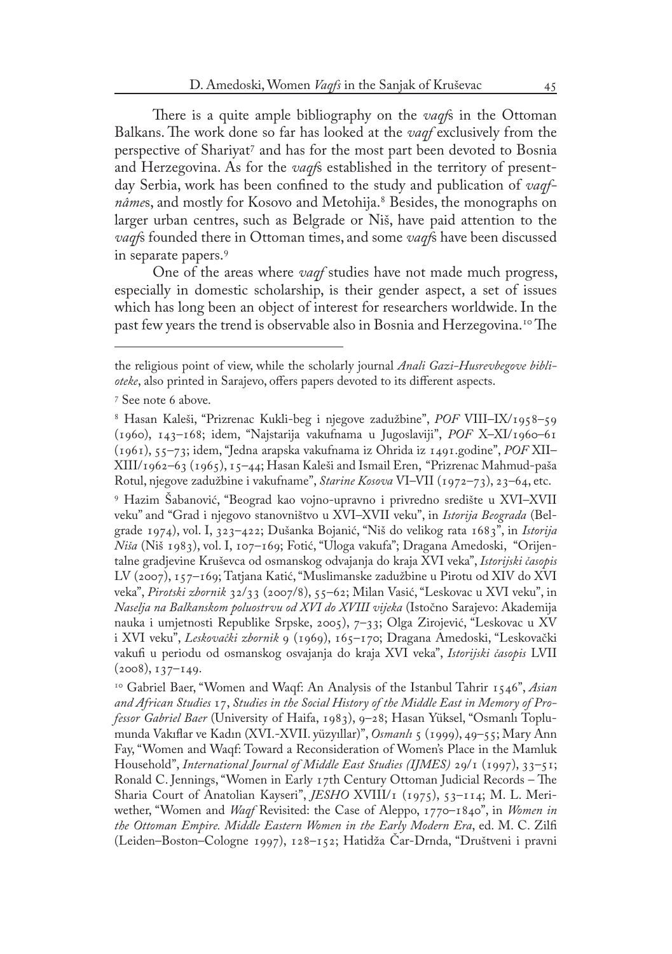There is a quite ample bibliography on the *vaqf*s in the Ottoman Balkans. The work done so far has looked at the *vaqf* exclusively from the perspective of Shariyat<sup>7</sup> and has for the most part been devoted to Bosnia and Herzegovina. As for the *vaqf*s established in the territory of presentday Serbia, work has been confined to the study and publication of *vaqfnâmes*, and mostly for Kosovo and Metohija.<sup>8</sup> Besides, the monographs on larger urban centres, such as Belgrade or Niš, have paid attention to the *vaqf*s founded there in Ottoman times, and some *vaqf*s have been discussed in separate papers.

One of the areas where *vaqf* studies have not made much progress, especially in domestic scholarship, is their gender aspect, a set of issues which has long been an object of interest for researchers worldwide. In the past few years the trend is observable also in Bosnia and Herzegovina.<sup>10</sup> The

 Hazim Šabanović, "Beograd kao vojno-upravno i privredno središte u XVI–XVII veku" and "Grad i njegovo stanovništvo u XVI–XVII veku", in *Istorija Beograda* (Belgrade 1974), vol. I, 323–422; Dušanka Bojanić, "Niš do velikog rata 1683", in *Istorija Niša* (Niš 1983), vol. I, 107–169; Fotić, "Uloga vakufa"; Dragana Amedoski, "Orijentalne gradjevine Kruševca od osmanskog odvajanja do kraja XVI veka", *Istorijski časopis*  LV (2007), 157–169; Tatjana Katić, "Muslimanske zadužbine u Pirotu od XIV do XVI veka", *Pirotski zbornik* 32/33 (2007/8), 55–62; Milan Vasić, "Leskovac u XVI veku", in *Naselja na Balkanskom poluostrvu od XVI do XVIII vijeka* (Istočno Sarajevo: Akademija nauka i umjetnosti Republike Srpske, 2005), 7–33; Olga Zirojević, "Leskovac u XV i XVI veku", *Leskovački zbornik* 9 (1969), 165–170; Dragana Amedoski, "Leskovački vakufi u periodu od osmanskog osvajanja do kraja XVI veka", *Istorijski časopis* LVII  $(2008), 137-149.$ 

<sup>10</sup> Gabriel Baer, "Women and Waqf: An Analysis of the Istanbul Tahrir 1546", Asian *and African Studies* 17, *Studies in the Social History of the Middle East in Memory of Professor Gabriel Baer* (University of Haifa, 1983), 9–28; Hasan Yüksel, "Osmanlı Toplumunda Vakıflar ve Kadın (XVI.-XVII. yüzyıllar)", *Osmanlı* 5 (1999), 49–55; Mary Ann Fay, "Women and Waqf: Toward a Reconsideration of Women's Place in the Mamluk Household", *International Journal of Middle East Studies (IJMES)* 29/1 (1997), 33–51; Ronald C. Jennings, "Women in Early 17th Century Ottoman Judicial Records – The Sharia Court of Anatolian Kayseri", *JESHO* XVIII/1 (1975), 53-114; M. L. Meriwether, "Women and *Waqf* Revisited: the Case of Aleppo, 1770–1840", in *Women in the Ottoman Empire. Middle Eastern Women in the Early Modern Era*, ed. M. C. Zilfi (Leiden–Boston–Cologne 1997), 128–152; Hatidža Čar-Drnda, "Društveni i pravni

the religious point of view, while the scholarly journal *Anali Gazi-Husrevbegove biblioteke*, also printed in Sarajevo, offers papers devoted to its different aspects.

<sup>&</sup>lt;sup>7</sup> See note 6 above.

Hasan Kaleši, "Prizrenac Kukli-beg i njegove zadužbine", *POF* VIII–IX/1958–59 (1960), 143–168; idem, "Najstarija vakufnama u Jugoslaviji", *POF* X–XI/1960–61 (1961), 55–73; idem, "Jedna arapska vakufnama iz Ohrida iz 1491.godine", *POF* XII– XIII/1962–63 (1965), 15–44; Hasan Kaleši and Ismail Eren, "Prizrenac Mahmud-paša Rotul, njegove zadužbine i vakufname", *Starine Kosova* VI–VII (1972–73), 23–64, etc.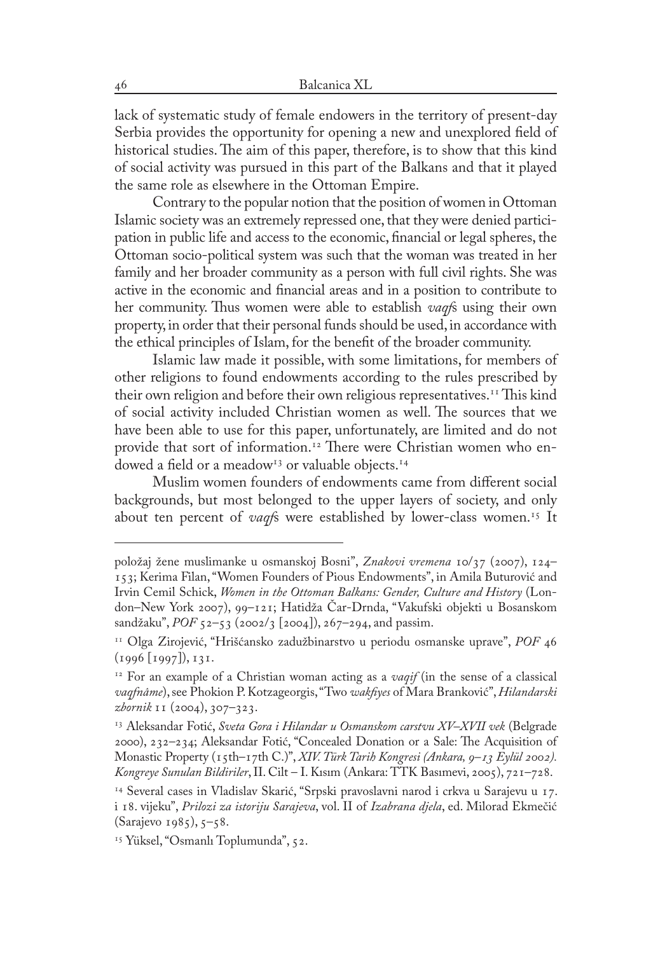lack of systematic study of female endowers in the territory of present-day Serbia provides the opportunity for opening a new and unexplored field of historical studies. The aim of this paper, therefore, is to show that this kind of social activity was pursued in this part of the Balkans and that it played the same role as elsewhere in the Ottoman Empire.

Contrary to the popular notion that the position of women in Ottoman Islamic society was an extremely repressed one, that they were denied participation in public life and access to the economic, financial or legal spheres, the Ottoman socio-political system was such that the woman was treated in her family and her broader community as a person with full civil rights. She was active in the economic and financial areas and in a position to contribute to her community. Thus women were able to establish *vaqf*s using their own property, in order that their personal funds should be used, in accordance with the ethical principles of Islam, for the benefit of the broader community.

Islamic law made it possible, with some limitations, for members of other religions to found endowments according to the rules prescribed by their own religion and before their own religious representatives.<sup>11</sup> This kind of social activity included Christian women as well. The sources that we have been able to use for this paper, unfortunately, are limited and do not provide that sort of information.<sup>12</sup> There were Christian women who endowed a field or a meadow<sup>13</sup> or valuable objects.<sup>14</sup>

Muslim women founders of endowments came from different social backgrounds, but most belonged to the upper layers of society, and only about ten percent of *vaqf*s were established by lower-class women.<sup>15</sup> It

položaj žene muslimanke u osmanskoj Bosni", *Znakovi vremena* 10/37 (2007), 124– 153; Kerima Filan, "Women Founders of Pious Endowments", in Amila Buturović and Irvin Cemil Schick, *Women in the Ottoman Balkans: Gender, Culture and History* (London–New York 2007), 99–121; Hatidža Čar-Drnda, "Vakufski objekti u Bosanskom sandžaku", *POF* 52–53 (2002/3 [2004]), 267–294, and passim.

<sup>11</sup> Olga Zirojević, "Hrišćansko zadužbinarstvo u periodu osmanske uprave", *POF* 46 (1996 [1997]), 131.

<sup>12</sup> For an example of a Christian woman acting as a *vaqif* (in the sense of a classical *vaqfnâme*), see Phokion P. Kotzageorgis, "Two *wakfiyes* of Mara Branković", *Hilandarski zbornik* 11 (2004), 307–323.

<sup>13</sup> Aleksandar Fotić, *Sveta Gora i Hilandar u Osmanskom carstvu XV–XVII vek* (Belgrade 2000), 232–234; Aleksandar Fotić, "Concealed Donation or a Sale: The Acquisition of Monastic Property (15th–17th C.)", *XIV. Türk Tarih Kongresi (Ankara, 9–13 Eylül 2002). Kongreye Sunulan Bildiriler*, II. Cilt – I. Kısım (Ankara: TTK Basımevi, 2005), 721–728.

<sup>14</sup> Several cases in Vladislav Skarić, "Srpski pravoslavni narod i crkva u Sarajevu u 17. i 18. vijeku", *Prilozi za istoriju Sarajeva*, vol. II of *Izabrana djela*, ed. Milorad Ekmečić (Sarajevo 1985), 5–58.

<sup>&</sup>lt;sup>15</sup> Yüksel, "Osmanlı Toplumunda", 52.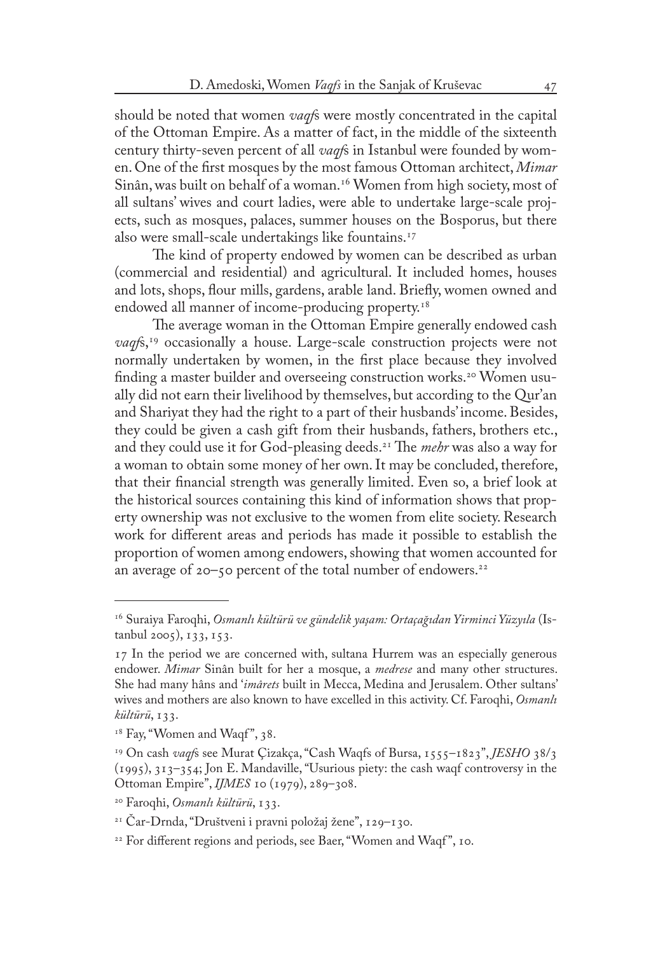should be noted that women *vaqf*s were mostly concentrated in the capital of the Ottoman Empire. As a matter of fact, in the middle of the sixteenth century thirty-seven percent of all *vaqf*s in Istanbul were founded by women. One of the first mosques by the most famous Ottoman architect, *Mimar* Sinân, was built on behalf of a woman.<sup>16</sup> Women from high society, most of all sultans' wives and court ladies, were able to undertake large-scale projects, such as mosques, palaces, summer houses on the Bosporus, but there also were small-scale undertakings like fountains.17

The kind of property endowed by women can be described as urban (commercial and residential) and agricultural. It included homes, houses and lots, shops, flour mills, gardens, arable land. Briefly, women owned and endowed all manner of income-producing property.18

The average woman in the Ottoman Empire generally endowed cash *vaqf*s,19 occasionally a house. Large-scale construction projects were not normally undertaken by women, in the first place because they involved finding a master builder and overseeing construction works.<sup>20</sup> Women usually did not earn their livelihood by themselves, but according to the Qur'an and Shariyat they had the right to a part of their husbands' income. Besides, they could be given a cash gift from their husbands, fathers, brothers etc., and they could use it for God-pleasing deeds.21 The *mehr* was also a way for a woman to obtain some money of her own. It may be concluded, therefore, that their financial strength was generally limited. Even so, a brief look at the historical sources containing this kind of information shows that property ownership was not exclusive to the women from elite society. Research work for different areas and periods has made it possible to establish the proportion of women among endowers, showing that women accounted for an average of 20–50 percent of the total number of endowers.22

<sup>16</sup> Suraiya Faroqhi, *Osmanlı kültürü ve gündelik yaşam: Ortaçağıdan Yirminci Yüzyıla* (Istanbul 2005), 133, 153.

<sup>17</sup> In the period we are concerned with, sultana Hurrem was an especially generous endower. *Mimar* Sinân built for her a mosque, a *medrese* and many other structures. She had many hâns and '*imârets* built in Mecca, Medina and Jerusalem. Other sultans' wives and mothers are also known to have excelled in this activity. Cf. Faroqhi, *Osmanlı kültürü*, 133.

<sup>&</sup>lt;sup>18</sup> Fay, "Women and Waqf", 38.

<sup>&</sup>lt;sup>19</sup> On cash *vaqf*s see Murat Çizakça, "Cash Waqfs of Bursa, 1555–1823", *JESHO* 38/ (1995), 313–354; Jon E. Mandaville, "Usurious piety: the cash waqf controversy in the Ottoman Empire", *IJMES* 10 (1979), 289–308.

<sup>20</sup> Faroqhi, *Osmanlı kültürü*, 133.

<sup>21</sup> Čar-Drnda, "Društveni i pravni položaj žene", 129–130.

<sup>&</sup>lt;sup>22</sup> For different regions and periods, see Baer, "Women and Waqf", 10.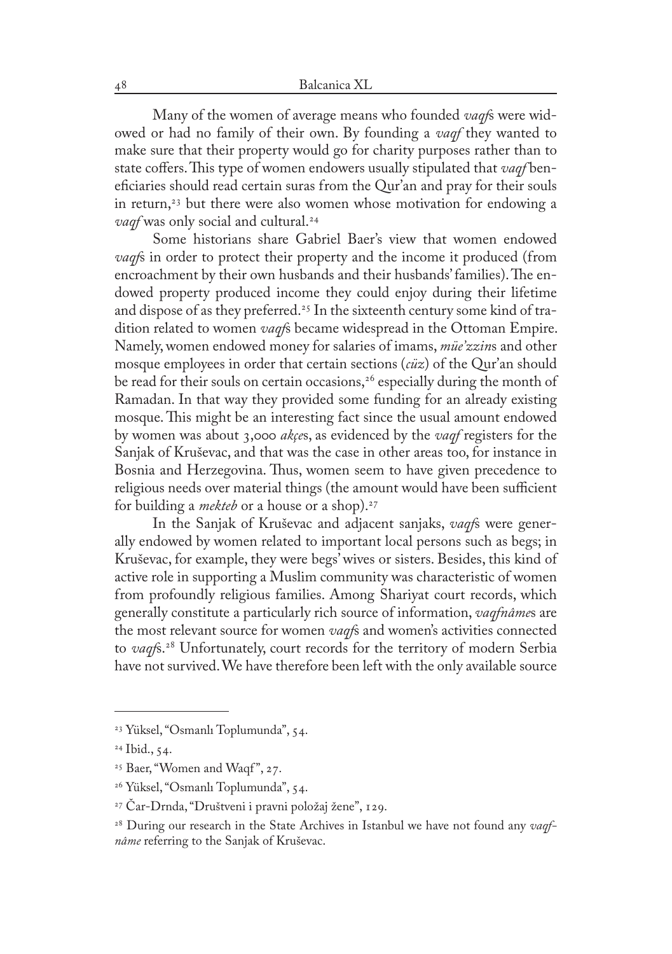Many of the women of average means who founded *vaqf*s were widowed or had no family of their own. By founding a *vaqf* they wanted to make sure that their property would go for charity purposes rather than to state coffers. This type of women endowers usually stipulated that *vaqf* beneficiaries should read certain suras from the Qur'an and pray for their souls in return,<sup>23</sup> but there were also women whose motivation for endowing a *vaqf* was only social and cultural.24

Some historians share Gabriel Baer's view that women endowed *vaqf*s in order to protect their property and the income it produced (from encroachment by their own husbands and their husbands' families). The endowed property produced income they could enjoy during their lifetime and dispose of as they preferred.25 In the sixteenth century some kind of tradition related to women *vaqf*s became widespread in the Ottoman Empire. Namely, women endowed money for salaries of imams, *müe'zzin*s and other mosque employees in order that certain sections (*cüz*) of the Qur'an should be read for their souls on certain occasions,<sup>26</sup> especially during the month of Ramadan. In that way they provided some funding for an already existing mosque. This might be an interesting fact since the usual amount endowed by women was about 3,000 *akçe*s, as evidenced by the *vaqf* registers for the Sanjak of Kruševac, and that was the case in other areas too, for instance in Bosnia and Herzegovina. Thus, women seem to have given precedence to religious needs over material things (the amount would have been sufficient for building a *mekteb* or a house or a shop).<sup>27</sup>

In the Sanjak of Kruševac and adjacent sanjaks, *vaqf*s were generally endowed by women related to important local persons such as begs; in Kruševac, for example, they were begs' wives or sisters. Besides, this kind of active role in supporting a Muslim community was characteristic of women from profoundly religious families. Among Shariyat court records, which generally constitute a particularly rich source of information, *vaqfnâme*s are the most relevant source for women *vaqf*s and women's activities connected to *vaqf*s.28 Unfortunately, court records for the territory of modern Serbia have not survived. We have therefore been left with the only available source

<sup>23</sup> Yüksel, "Osmanlı Toplumunda", 54.

<sup>24</sup> Ibid., 54.

<sup>&</sup>lt;sup>25</sup> Baer, "Women and Waqf", 27.

<sup>26</sup> Yüksel, "Osmanlı Toplumunda", 54.

<sup>27</sup> Čar-Drnda, "Društveni i pravni položaj žene", 129.

<sup>28</sup> During our research in the State Archives in Istanbul we have not found any *vaqfnâme* referring to the Sanjak of Kruševac.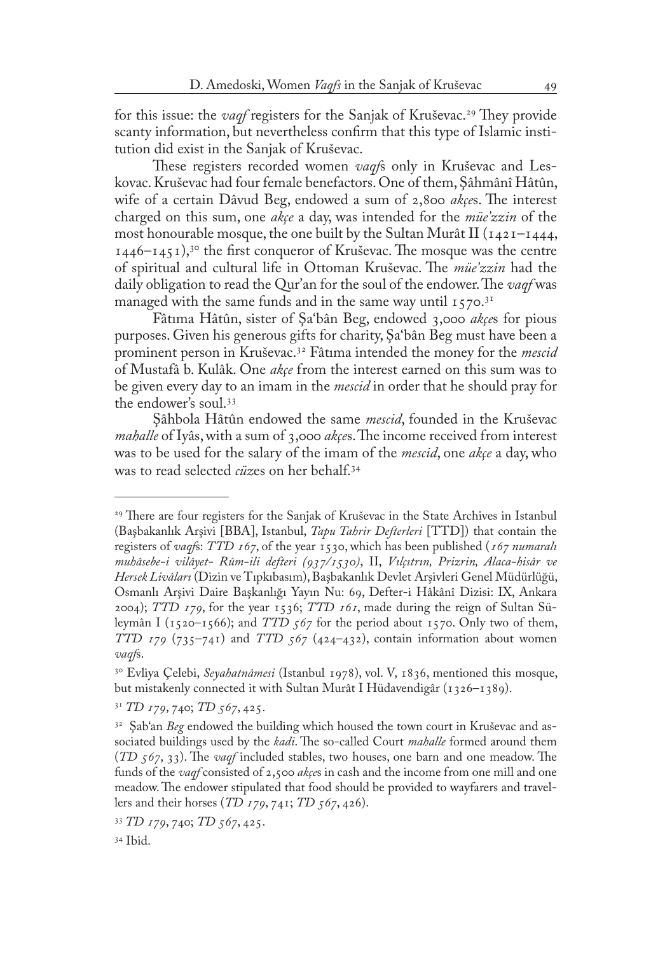for this issue: the *vaqf* registers for the Sanjak of Kruševac.<sup>29</sup> They provide scanty information, but nevertheless confirm that this type of Islamic institution did exist in the Sanjak of Kruševac.

These registers recorded women *vaqf*s only in Kruševac and Leskovac. Kruševac had four female benefactors. One of them, Şâhmânî Hâtûn, wife of a certain Dâvud Beg, endowed a sum of 2,800 *akçe*s. The interest charged on this sum, one *akçe* a day, was intended for the *müe'zzin* of the most honourable mosque, the one built by the Sultan Murât II ( $1421 - 1444$ , 1446–1451),30 the first conqueror of Kruševac. The mosque was the centre of spiritual and cultural life in Ottoman Kruševac. The *müe'zzin* had the daily obligation to read the Qur'an for the soul of the endower. The *vaqf* was managed with the same funds and in the same way until  $1570$ .<sup>31</sup>

Fâtıma Hâtûn, sister of Şa'bân Beg, endowed 3,000 *akçe*s for pious purposes. Given his generous gifts for charity, Şa'bân Beg must have been a prominent person in Kruševac.32 Fâtıma intended the money for the *mescid* of Mustafâ b. Kulâk. One *akçe* from the interest earned on this sum was to be given every day to an imam in the *mescid* in order that he should pray for the endower's soul.33

Şâhbola Hâtûn endowed the same *mescid*, founded in the Kruševac *mahalle* of Iyâs, with a sum of 3,000 *akçe*s. The income received from interest was to be used for the salary of the imam of the *mescid*, one *akçe* a day, who was to read selected *cüz*es on her behalf.34

<sup>29</sup> There are four registers for the Sanjak of Kruševac in the State Archives in Istanbul (Başbakanlık Arşivi [BBA], Istanbul, *Tapu Tahrir Defterleri* [TTD]) that contain the registers of *vaqf*s: *TTD 167*, of the year 1530, which has been published (*167 numaralı muhâsebe-i vilâyet- Rûm-ili defteri (937/1530)*, II, *Vılçıtrın, Prizrin, Alaca-hisâr ve Hersek Livâları* (Dizin ve Tıpkıbasım), Başbakanlık Devlet Arşivleri Genel Müdürlüğü, Osmanlı Arşivi Daire Başkanlığı Yayın Nu: 69, Defter-i Hâkânî Dizisi: IX, Ankara 2004); *TTD 179*, for the year 1536; *TTD 161*, made during the reign of Sultan Süleymân I (1520–1566); and *TTD 567* for the period about 1570. Only two of them, *TTD 179* (735–741) and *TTD 567* (424–432), contain information about women *vaqf*s.

<sup>30</sup> Evliya Çelebi, *Seyahatnâmesi* (Istanbul 1978), vol. V, 1836, mentioned this mosque, but mistakenly connected it with Sultan Murât I Hüdavendigâr (1326–1389).

<sup>31</sup> *TD 179*, 740; *TD 567*, 425.

<sup>32</sup> Şab'an *Beg* endowed the building which housed the town court in Kruševac and associated buildings used by the *kadi*. The so-called Court *mahalle* formed around them (*TD 567*, 33). The *vaqf* included stables, two houses, one barn and one meadow. The funds of the *vaqf* consisted of 2,500 *akçe*s in cash and the income from one mill and one meadow. The endower stipulated that food should be provided to wayfarers and travellers and their horses (*TD 179*, 741; *TD 567*, 426).

<sup>33</sup> *TD 179*, 740; *TD 567*, 425.

<sup>34</sup> Ibid.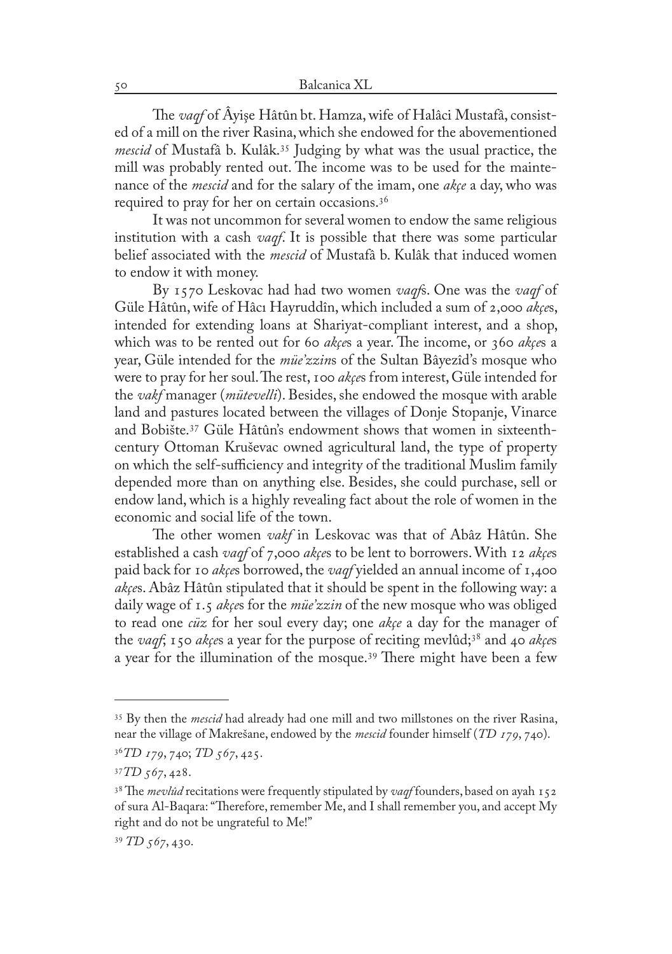The *vaqf* of Âyişe Hâtûn bt. Hamza, wife of Halâci Mustafâ, consisted of a mill on the river Rasina, which she endowed for the abovementioned *mescid* of Mustafâ b. Kulâk.35 Judging by what was the usual practice, the mill was probably rented out. The income was to be used for the maintenance of the *mescid* and for the salary of the imam, one *akçe* a day, who was required to pray for her on certain occasions.36

It was not uncommon for several women to endow the same religious institution with a cash *vaqf*. It is possible that there was some particular belief associated with the *mescid* of Mustafâ b. Kulâk that induced women to endow it with money.

By 1570 Leskovac had had two women *vaqf*s. One was the *vaqf* of Güle Hâtûn, wife of Hâcı Hayruddîn, which included a sum of 2,000 *akçe*s, intended for extending loans at Shariyat-compliant interest, and a shop, which was to be rented out for 60 *akçe*s a year. The income, or 360 *akçe*s a year, Güle intended for the *müe'zzin*s of the Sultan Bâyezîd's mosque who were to pray for her soul. The rest, 100 *akçe*s from interest, Güle intended for the *vakf* manager (*mütevelli*). Besides, she endowed the mosque with arable land and pastures located between the villages of Donje Stopanje, Vinarce and Bobište.37 Güle Hâtûn's endowment shows that women in sixteenthcentury Ottoman Kruševac owned agricultural land, the type of property on which the self-sufficiency and integrity of the traditional Muslim family depended more than on anything else. Besides, she could purchase, sell or endow land, which is a highly revealing fact about the role of women in the economic and social life of the town.

The other women *vakf* in Leskovac was that of Abâz Hâtûn. She established a cash *vaqf* of 7,000 *akçe*s to be lent to borrowers. With 12 *akçe*s paid back for 10 *akçe*s borrowed, the *vaqf* yielded an annual income of 1,400 *akçe*s. Abâz Hâtûn stipulated that it should be spent in the following way: a daily wage of 1.5 *akçe*s for the *müe'zzin* of the new mosque who was obliged to read one *cüz* for her soul every day; one *akçe* a day for the manager of the *vaqf*; 150 *akçe*s a year for the purpose of reciting mevlûd;38 and 40 *akçe*s a year for the illumination of the mosque.39 There might have been a few

<sup>35</sup> By then the *mescid* had already had one mill and two millstones on the river Rasina, near the village of Makrešane, endowed by the *mescid* founder himself (*TD 179*, 740).

<sup>36</sup> *TD 179*, 740; *TD 567*, 425.

<sup>37</sup> *TD 567*, 428.

<sup>&</sup>lt;sup>38</sup> The *mevlûd* recitations were frequently stipulated by *vaqf* founders, based on ayah 15 of sura Al-Baqara: "Therefore, remember Me, and I shall remember you, and accept My right and do not be ungrateful to Me!"

<sup>39</sup>  *TD 567*, 430.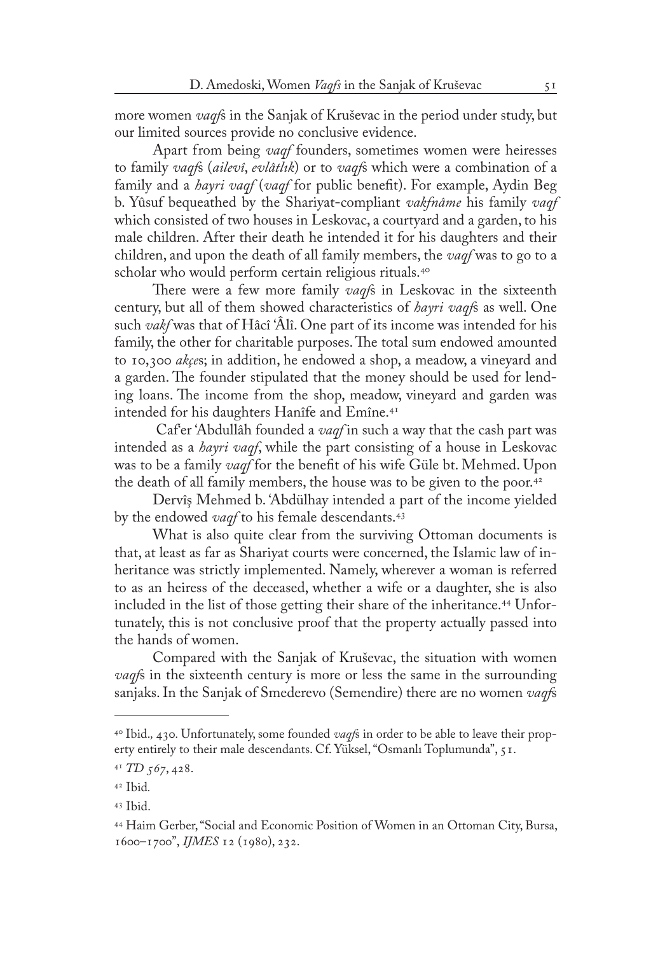more women *vaqf*s in the Sanjak of Kruševac in the period under study, but our limited sources provide no conclusive evidence.

Apart from being *vaqf* founders, sometimes women were heiresses to family *vaqf*s (*ailevî*, *evlâtlık*) or to *vaqf*s which were a combination of a family and a *hayri vaqf* (*vaqf* for public benefit). For example, Aydin Beg b. Yûsuf bequeathed by the Shariyat-compliant *vakfnâme* his family *vaqf* which consisted of two houses in Leskovac, a courtyard and a garden, to his male children. After their death he intended it for his daughters and their children, and upon the death of all family members, the *vaqf* was to go to a scholar who would perform certain religious rituals.<sup>40</sup>

There were a few more family *vaqf*s in Leskovac in the sixteenth century, but all of them showed characteristics of *hayri vaqf*s as well. One such *vakf* was that of Hâcî 'Âlî. One part of its income was intended for his family, the other for charitable purposes. The total sum endowed amounted to 10,300 *akçe*s; in addition, he endowed a shop, a meadow, a vineyard and a garden. The founder stipulated that the money should be used for lending loans. The income from the shop, meadow, vineyard and garden was intended for his daughters Hanîfe and Emîne.<sup>41</sup>

 Caf'er 'Abdullâh founded a *vaqf* in such a way that the cash part was intended as a *hayri vaqf*, while the part consisting of a house in Leskovac was to be a family *vaqf* for the benefit of his wife Güle bt. Mehmed. Upon the death of all family members, the house was to be given to the poor.<sup>42</sup>

Dervîş Mehmed b. 'Abdülhay intended a part of the income yielded by the endowed *vaqf* to his female descendants.43

What is also quite clear from the surviving Ottoman documents is that, at least as far as Shariyat courts were concerned, the Islamic law of inheritance was strictly implemented. Namely, wherever a woman is referred to as an heiress of the deceased, whether a wife or a daughter, she is also included in the list of those getting their share of the inheritance.<sup>44</sup> Unfortunately, this is not conclusive proof that the property actually passed into the hands of women.

Compared with the Sanjak of Kruševac, the situation with women *vaqf*s in the sixteenth century is more or less the same in the surrounding sanjaks. In the Sanjak of Smederevo (Semendire) there are no women *vaqf*s

<sup>40</sup> Ibid.*,* 430*.* Unfortunately, some founded *vaqf*s in order to be able to leave their property entirely to their male descendants. Cf. Yüksel, "Osmanlı Toplumunda", 51.

<sup>41</sup>  *TD 567*, 428.

<sup>42</sup> Ibid*.*

<sup>43</sup> Ibid.

<sup>44</sup> Haim Gerber, "Social and Economic Position of Women in an Ottoman City, Bursa, 1600–1700", *IJMES* 12 (1980), 232.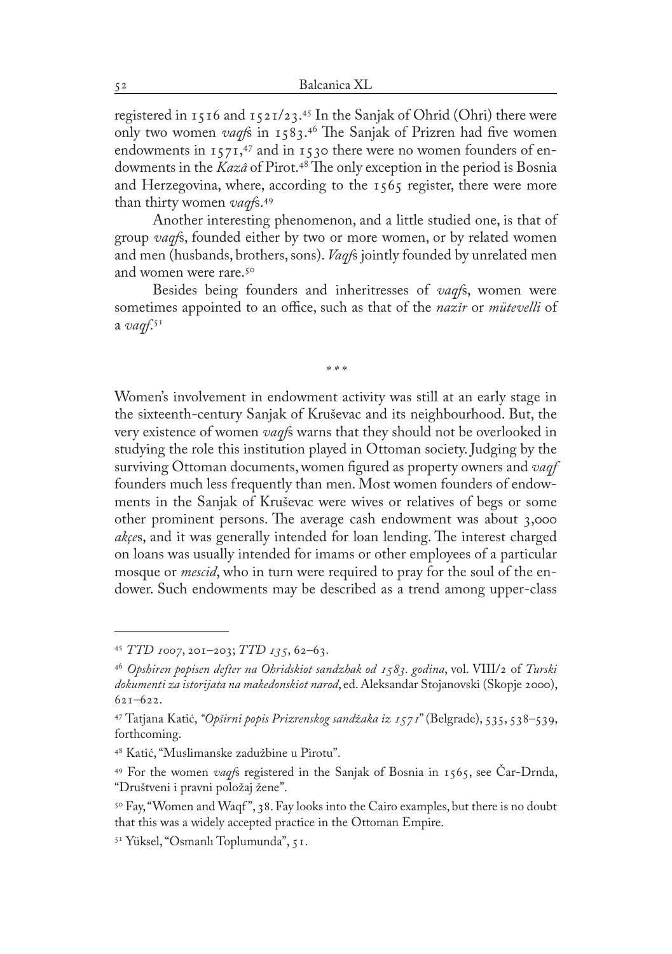registered in 1516 and 1521/23. 45 In the Sanjak of Ohrid (Ohri) there were only two women *vaqf*s in 1583. 46 The Sanjak of Prizren had five women endowments in 1571, 47 and in 1530 there were no women founders of endowments in the *Kazâ* of Pirot.48 The only exception in the period is Bosnia and Herzegovina, where, according to the 1565 register, there were more than thirty women *vaqf*s.49

Another interesting phenomenon, and a little studied one, is that of group *vaqf*s, founded either by two or more women, or by related women and men (husbands, brothers, sons). *Vaqf*s jointly founded by unrelated men and women were rare.<sup>50</sup>

Besides being founders and inheritresses of *vaqf*s, women were sometimes appointed to an office, such as that of the *nazîr* or *mütevelli* of a *vaqf*. 51

*\* \* \**

Women's involvement in endowment activity was still at an early stage in the sixteenth-century Sanjak of Kruševac and its neighbourhood. But, the very existence of women *vaqf*s warns that they should not be overlooked in studying the role this institution played in Ottoman society. Judging by the surviving Ottoman documents, women figured as property owners and *vaqf*  founders much less frequently than men. Most women founders of endowments in the Sanjak of Kruševac were wives or relatives of begs or some other prominent persons. The average cash endowment was about 3,000 *akçe*s, and it was generally intended for loan lending. The interest charged on loans was usually intended for imams or other employees of a particular mosque or *mescid*, who in turn were required to pray for the soul of the endower. Such endowments may be described as a trend among upper-class

<sup>45</sup> *TTD 1007*, 201–203; *TTD 135*, 62–63.

<sup>46</sup> *Opshiren popisen defter na Ohridskiot sandzhak od 1583. godina*, vol. VIII/2 of *Turski dokumenti za istorijata na makedonskiot narod*, ed. Aleksandar Stojanovski (Skopje 2000), 621–622.

<sup>47</sup> Tatjana Katić, *"Opširni popis Prizrenskog sandžaka iz 1571*" (Belgrade), 535, 538–539, forthcoming.

<sup>48</sup> Katić, "Muslimanske zadužbine u Pirotu".

<sup>49</sup> For the women *vaqf*s registered in the Sanjak of Bosnia in 1565, see Čar-Drnda, "Društveni i pravni položaj žene".

<sup>&</sup>lt;sup>50</sup> Fay, "Women and Waqf", 38. Fay looks into the Cairo examples, but there is no doubt that this was a widely accepted practice in the Ottoman Empire.

<sup>51</sup> Yüksel, "Osmanlı Toplumunda", 51.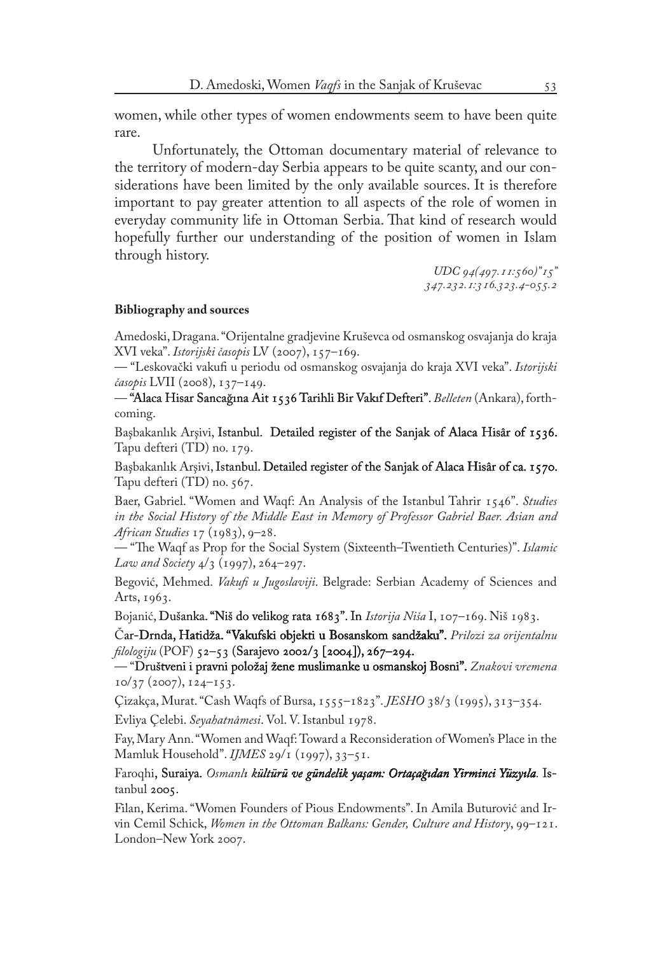women, while other types of women endowments seem to have been quite rare.

Unfortunately, the Ottoman documentary material of relevance to the territory of modern-day Serbia appears to be quite scanty, and our considerations have been limited by the only available sources. It is therefore important to pay greater attention to all aspects of the role of women in everyday community life in Ottoman Serbia. That kind of research would hopefully further our understanding of the position of women in Islam through history.

> *UDC 94(497.11:560)"15" 347.232.1:316.323.4-055.2*

## **Bibliography and sources**

Amedoski, Dragana. "Orijentalne gradjevine Kruševca od osmanskog osvajanja do kraja XVI veka". *Istorijski časopis* LV (2007), 157–169.

— "Leskovački vakufi u periodu od osmanskog osvajanja do kraja XVI veka". *Istorijski časopis* LVII (2008), 137–149.

— "Alaca Hisar Sancağına Ait 56 Tarihli Bir Vakıf Defteri". 1536 Bir Defteri". *Belleten* (Ankara), forthcoming.

Başbakanlık Arşivi, Istanbul. Detailed register of the Sanjak of Alaca Hisâr of 1536. Tapu defteri (TD) no. 179.

Başbakanlık Arşivi, Istanbul. Detailed register of the Sanjak of Alaca Hisâr of ca. 1570. Tapu defteri (TD) no. 567.

Baer, Gabriel. "Women and Waqf: An Analysis of the Istanbul Tahrir 1546". *Studies in the Social History of the Middle East in Memory of Professor Gabriel Baer. Asian and African Studies* 17 (1983), 9–28.

— "The Waqf as Prop for the Social System (Sixteenth–Twentieth Centuries)". *Islamic Law and Society* 4/3 (1997), 264–297.

Begović, Mehmed. *Vakufi u Jugoslaviji*. Belgrade: Serbian Academy of Sciences and Arts, 1963.

Bojanić, Dušanka. "Niš do velikog rata 1683". In *Istorija Niša* I, 107-169. Niš 1983.

Čar-Drnda, Hatidža. "Vakufski objekti u Bosanskom sandžaku". Prilozi za orijentalnu *filologiju* (POF) 52–53 (Sarajevo 2002/3 [2004]), 267–294.

— "Društveni i pravni položaj žene muslimanke u osmanskoj Bosni". Znakovi vremena  $10/37$  (2007),  $124-153$ .

Çizakça, Murat. "Cash Waqfs of Bursa, 1555–1823". *JESHO* 38/3 (1995), 313–354.

Evliya Çelebi. *Seyahatnâmesi*. Vol. V. Istanbul 1978.

Fay, Mary Ann. "Women and Waqf: Toward a Reconsideration of Women's Place in the Mamluk Household". *IJMES* 29/1 (1997), 33–51.

Faroqhi, Suraiya. *Osmanlı kültürü ve gündelik yaşam: Ortaçağıdan Yirminci Yüzyıla*. Istanbul 2005.

Filan, Kerima. "Women Founders of Pious Endowments". In Amila Buturović and Irvin Cemil Schick, *Women in the Ottoman Balkans: Gender, Culture and History*, 99–121. London–New York 2007.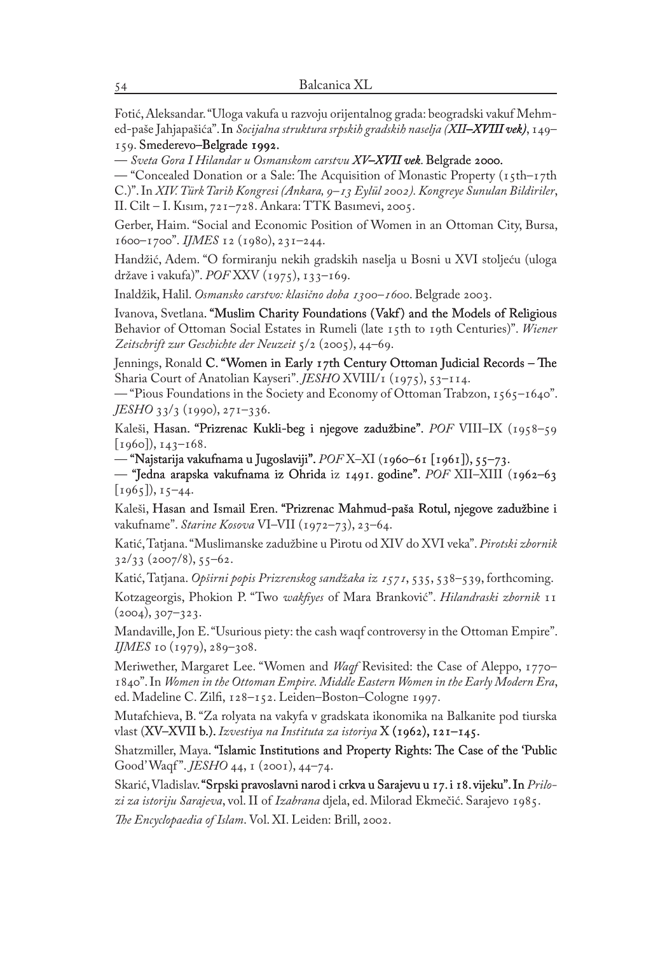Fotić, Aleksandar. "Uloga vakufa u razvoju orijentalnog grada: beogradski vakuf Mehmed-paše Jahjapašića". In *Socijalna struktura srpskih gradskih naselja (XII–XVIII vek)*, 149– 159. Smederevo-Belgrade 1992.

 $-$  Sveta Gora I Hilandar u Osmanskom carstvu XV-XVII vek. Belgrade 2000.

— "Concealed Donation or a Sale: The Acquisition of Monastic Property (15th–17th C.)". In *XIV. Türk Tarih Kongresi (Ankara, 9–13 Eylül 2002). Kongreye Sunulan Bildiriler*, II. Cilt – I. Kısım, 721–728. Ankara: TTK Basımevi, 2005.

Gerber, Haim. "Social and Economic Position of Women in an Ottoman City, Bursa, 1600–1700". *IJMES* 12 (1980), 231–244.

Handžić, Adem. "O formiranju nekih gradskih naselja u Bosni u XVI stoljeću (uloga države i vakufa)". *POF* XXV (1975), 133–169.

Inaldžik, Halil. *Osmansko carstvo: klasično doba 1300–1600*. Belgrade 2003.

Ivanova, Svetlana. "Muslim Charity Foundations (Vakf) and the Models of Religious Behavior of Ottoman Social Estates in Rumeli (late 15th to 19th Centuries)". *Wiener Zeitschrift zur Geschichte der Neuzeit* 5/2 (2005), 44–69.

Jennings, Ronald C. "Women in Early 17th Century Ottoman Judicial Records – The Sharia Court of Anatolian Kayseri". *JESHO* XVIII/1 (1975), 53-114.

— "Pious Foundations in the Society and Economy of Ottoman Trabzon,  $1565-1640$ ". *JESHO* 33/3 (1990), 271–336.

Kaleši, Hasan. "Prizrenac Kukli-beg i njegove zadužbine". *POF* VIII–IX (1958–59  $[1960], 143-168.$ 

— "Najstarija vakufnama u Jugoslaviji". *POF* X–XI (1960–61 [1961]), 55–73.

— "Jedna arapska vakufnama iz Ohrida iz 1491. godine". *POF* XII–XIII (1962–63  $[1965]$ ,  $15-44$ .

Kaleši, Hasan and Ismail Eren. "Prizrenac Mahmud-paša Rotul, njegove zadužbine i vakufname". *Starine Kosova* VI–VII (1972–73), 23–64.

Katić, Tatjana. "Muslimanske zadužbine u Pirotu od XIV do XVI veka". *Pirotski zbornik*  $32/33$  (2007/8), 55–62.

Katić, Tatjana. *Opširni popis Prizrenskog sandžaka iz 1571*, 535, 538–539, forthcoming.

Kotzageorgis, Phokion P. "Two *wakfiyes* of Mara Branković". *Hilandraski zbornik* 11  $(2004), 307 - 323.$ 

Mandaville, Jon E. "Usurious piety: the cash waqf controversy in the Ottoman Empire". *IJMES* 10 (1979), 289–308.

Meriwether, Margaret Lee. "Women and *Waqf* Revisited: the Case of Aleppo, 1770– 1840". In *Women in the Ottoman Empire. Middle Eastern Women in the Early Modern Era*, ed. Madeline C. Zilfi, 128–152. Leiden–Boston–Cologne 1997.

Mutafchieva, B. "Za rolyata na vakyfa v gradskata ikonomika na Balkanite pod tiurska vlast (XV–XVII b.). Izvestiya na Instituta za istoriya X (1962), 121–145.

Shatzmiller, Maya. "Islamic Institutions and Property Rights: The Case of the 'Public Good' Waqf ". *JESHO* 44, 1 (2001), 44–74.

Skarić, Vladislav. "Srpski pravoslavni narod i crkva u Sarajevu u 17. i 18. vijeku". In Prilo*zi za istoriju Sarajeva*, vol. II of *Izabrana* djela, ed. Milorad Ekmečić. Sarajevo 1985. *The Encyclopaedia of Islam*. Vol. XI. Leiden: Brill, 2002.